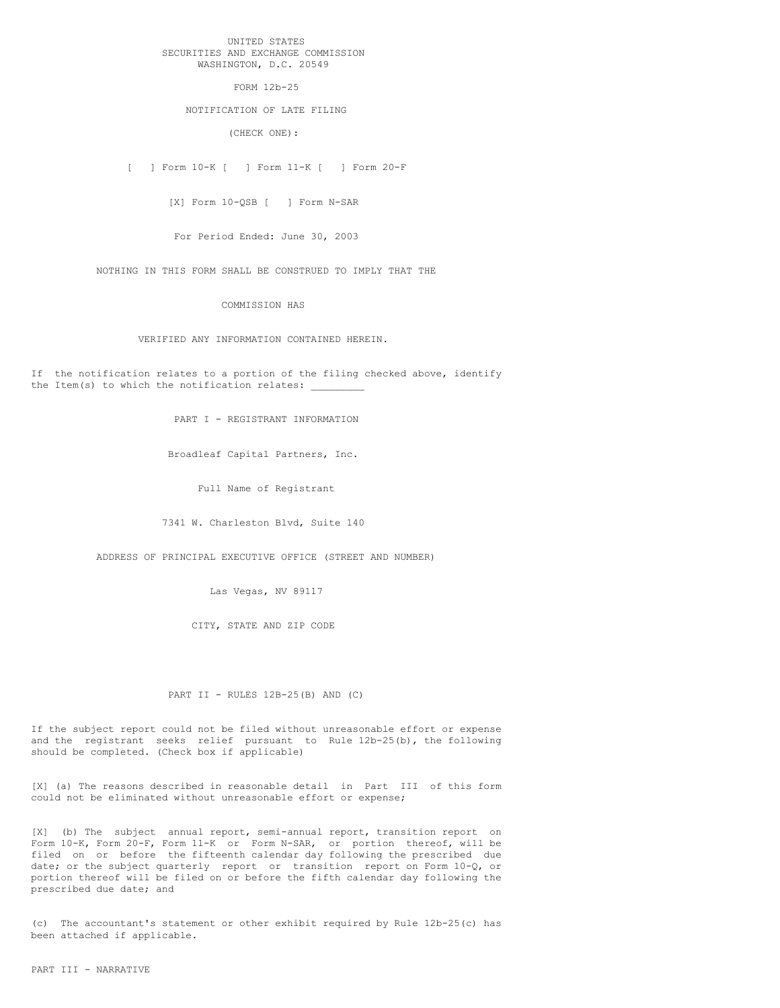### UNITED STATES SECURITIES AND EXCHANGE COMMISSION WASHINGTON, D.C. 20549

FORM 12b-25

## NOTIFICATION OF LATE FILING

(CHECK ONE):

[ ] Form 10-K [ ] Form 11-K [ ] Form 20-F

[X] Form 10-QSB [ ] Form N-SAR

For Period Ended: June 30, 2003

NOTHING IN THIS FORM SHALL BE CONSTRUED TO IMPLY THAT THE

COMMISSION HAS

VERIFIED ANY INFORMATION CONTAINED HEREIN.

If the notification relates to a portion of the filing checked above, identify the Item(s) to which the notification relates:

PART I - REGISTRANT INFORMATION

Broadleaf Capital Partners, Inc.

Full Name of Registrant

7341 W. Charleston Blvd, Suite 140

ADDRESS OF PRINCIPAL EXECUTIVE OFFICE (STREET AND NUMBER)

Las Vegas, NV 89117

CITY, STATE AND ZIP CODE

PART II - RULES 12B-25(B) AND (C)

If the subject report could not be filed without unreasonable effort or expense and the registrant seeks relief pursuant to Rule 12b-25(b), the following should be completed. (Check box if applicable)

[X] (a) The reasons described in reasonable detail in Part III of this form could not be eliminated without unreasonable effort or expense;

[X] (b) The subject annual report, semi-annual report, transition report on Form 10-K, Form 20-F, Form 11-K or Form N-SAR, or portion thereof, will be filed on or before the fifteenth calendar day following the prescribed due date; or the subject quarterly report or transition report on Form 10-Q, or portion thereof will be filed on or before the fifth calendar day following the prescribed due date; and

(c) The accountant's statement or other exhibit required by Rule 12b-25(c) has been attached if applicable.

PART III - NARRATIVE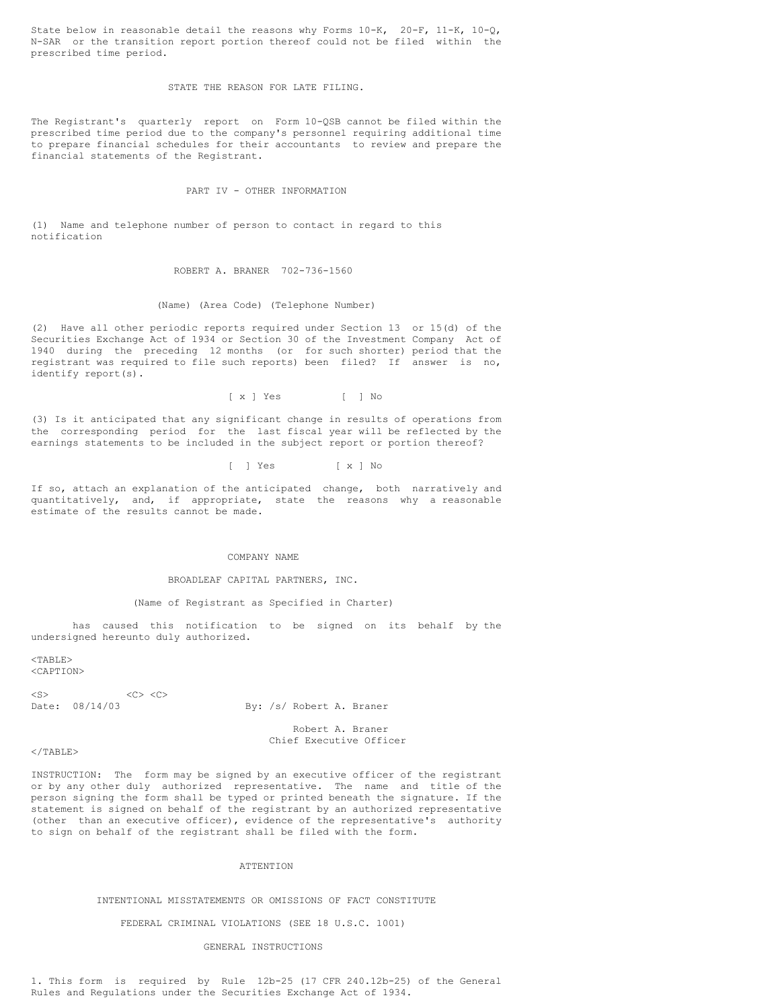State below in reasonable detail the reasons why Forms  $10-K$ ,  $20-F$ ,  $11-K$ ,  $10-Q$ , N-SAR or the transition report portion thereof could not be filed within the prescribed time period.

### STATE THE REASON FOR LATE FILING.

The Registrant's quarterly report on Form 10-QSB cannot be filed within the prescribed time period due to the company's personnel requiring additional time to prepare financial schedules for their accountants to review and prepare the financial statements of the Registrant.

## PART IV - OTHER INFORMATION

(1) Name and telephone number of person to contact in regard to this notification

### ROBERT A. BRANER 702-736-1560

#### (Name) (Area Code) (Telephone Number)

(2) Have all other periodic reports required under Section 13 or 15(d) of the Securities Exchange Act of 1934 or Section 30 of the Investment Company Act of 1940 during the preceding 12 months (or for such shorter) period that the registrant was required to file such reports) been filed? If answer is no, identify report(s).

[ x ] Yes [ ] No

(3) Is it anticipated that any significant change in results of operations from the corresponding period for the last fiscal year will be reflected by the earnings statements to be included in the subject report or portion thereof?

[ ] Yes [ x ] No

If so, attach an explanation of the anticipated change, both narratively and quantitatively, and, if appropriate, state the reasons why a reasonable estimate of the results cannot be made.

#### COMPANY NAME

#### BROADLEAF CAPITAL PARTNERS, INC.

#### (Name of Registrant as Specified in Charter)

has caused this notification to be signed on its behalf by the undersigned hereunto duly authorized.

 $<$ TABLE $>$ <CAPTION>

 $< S>$   $< C>$   $< C>$ <br>Date:  $08/14/03$ 

By: /s/ Robert A. Braner

Robert A. Braner Chief Executive Officer

### $<$ /TABLE>

INSTRUCTION: The form may be signed by an executive officer of the registrant or by any other duly authorized representative. The name and title of the person signing the form shall be typed or printed beneath the signature. If the statement is signed on behalf of the registrant by an authorized representative (other than an executive officer), evidence of the representative's authority to sign on behalf of the registrant shall be filed with the form.

# ATTENTION

### INTENTIONAL MISSTATEMENTS OR OMISSIONS OF FACT CONSTITUTE

#### FEDERAL CRIMINAL VIOLATIONS (SEE 18 U.S.C. 1001)

#### GENERAL INSTRUCTIONS

1. This form is required by Rule 12b-25 (17 CFR 240.12b-25) of the General Rules and Regulations under the Securities Exchange Act of 1934.